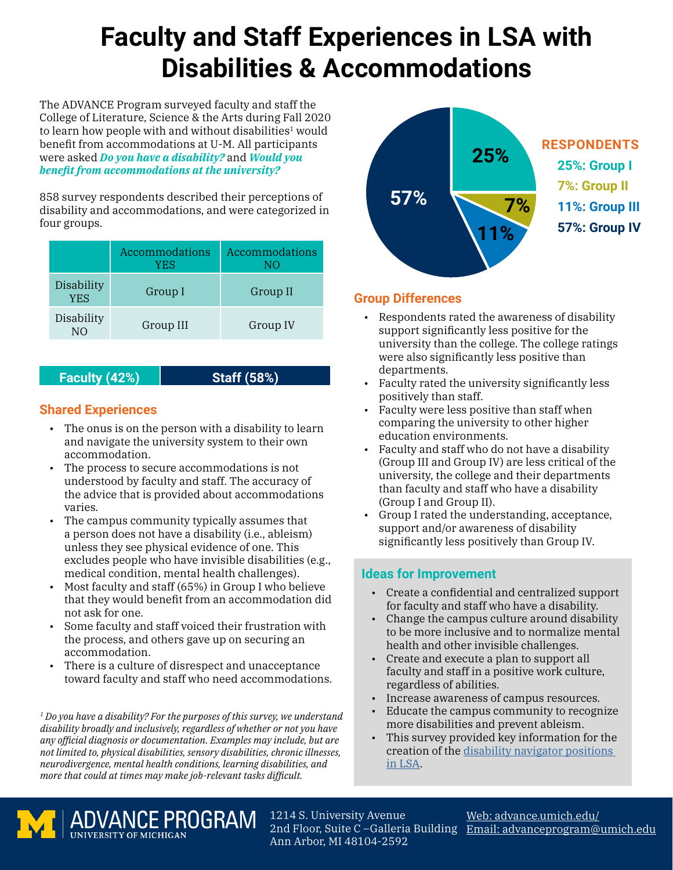## **Faculty and Staff Experiences in LSA with Disabilities & Accommodations**

The ADVANCE Program surveyed faculty and staff the College of Literature, Science & the Arts during Fall 2020 to learn how people with and without disabilities<sup>1</sup> would benefit from accommodations at U-M. All participants were asked *Do you have a disability?* and *Would you benefit from accommodations at the university?*

858 survey respondents described their perceptions of disability and accommodations, and were categorized in four groups.

|                                 | Accommodations<br><b>YES</b> | Accommodations<br>NΟ |
|---------------------------------|------------------------------|----------------------|
| <b>Disability</b><br><b>YES</b> | Group I                      | Group II             |
| Disability<br>NΟ                | Group III                    | Group IV             |

#### **Faculty (42%) Staff (58%)**

#### **Shared Experiences**

- The onus is on the person with a disability to learn and navigate the university system to their own accommodation.
- The process to secure accommodations is not understood by faculty and staff. The accuracy of the advice that is provided about accommodations varies.
- The campus community typically assumes that a person does not have a disability (i.e., ableism) unless they see physical evidence of one. This excludes people who have invisible disabilities (e.g., medical condition, mental health challenges).
- Most faculty and staff (65%) in Group I who believe that they would benefit from an accommodation did not ask for one.
- Some faculty and staff voiced their frustration with the process, and others gave up on securing an accommodation.
- There is a culture of disrespect and unacceptance toward faculty and staff who need accommodations.

*1 Do you have a disability? For the purposes of this survey, we understand disability broadly and inclusively, regardless of whether or not you have any official diagnosis or documentation. Examples may include, but are not limited to, physical disabilities, sensory disabilities, chronic illnesses, neurodivergence, mental health conditions, learning disabilities, and more that could at times may make job-relevant tasks difficult.*



#### **Group Differences**

- Respondents rated the awareness of disability support significantly less positive for the university than the college. The college ratings were also significantly less positive than departments.
- Faculty rated the university significantly less positively than staff.
- Faculty were less positive than staff when comparing the university to other higher education environments.
- Faculty and staff who do not have a disability (Group III and Group IV) are less critical of the university, the college and their departments than faculty and staff who have a disability (Group I and Group II).
- Group I rated the understanding, acceptance, support and/or awareness of disability significantly less positively than Group IV.

#### **Ideas for Improvement**

- Create a confidential and centralized support for faculty and staff who have a disability.
- Change the campus culture around disability to be more inclusive and to normalize mental health and other invisible challenges.
- Create and execute a plan to support all faculty and staff in a positive work culture, regardless of abilities.
- Increase awareness of campus resources.
- Educate the campus community to recognize more disabilities and prevent ableism.
- This survey provided key information for the creation of the [disability navigator positions](https://lsa.umich.edu/lsa/faculty-staff/lsa-dei-office/disability-accessibility.html)  [in LSA](https://lsa.umich.edu/lsa/faculty-staff/lsa-dei-office/disability-accessibility.html).



ADVANCE PROGRAM 1214 S. University Avenue Ann Arbor, MI 48104-2592

2nd Floor, Suite C –Galleria Building [Email: advanceprogram@umich.edu](mailto:advanceprogram%40umich.edu?subject=LSA%20Disabilities%20and%20Accommodations%20report) Web: [advance.umich.edu/](https://advance.umich.edu/)